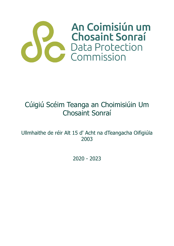

# Cúigiú Scéim Teanga an Choimisiúin Um Chosaint Sonraí

Ullmhaithe de réir Alt 15 d' Acht na dTeangacha Oifigiúla 2003

2020 - 2023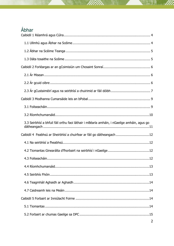## Ábhar

| 3.3 Seirbhísí a bhfuil fáil orthu faoi láthair i mBéarla amháin, i nGaeilge amháin, agus go |
|---------------------------------------------------------------------------------------------|
| Caibidil 4 Feabhsú ar Sheirbhísí a chuirfear ar fáil go dátheangach 12                      |
|                                                                                             |
|                                                                                             |
|                                                                                             |
|                                                                                             |
|                                                                                             |
|                                                                                             |
|                                                                                             |
|                                                                                             |
|                                                                                             |
|                                                                                             |
|                                                                                             |

W).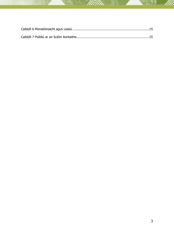V)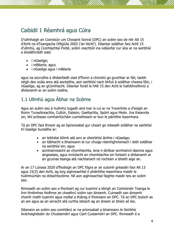## <span id="page-3-0"></span>Caibidil 1 Réamhrá agus Cúlra

D'ullmhaigh an Coimisiún um Chosaint Sonraí (DPC) an scéim seo de réir Alt 15 d'Acht na dTeangacha Oifigiúla 2003 ('an tAcht'). Déantar soláthar faoi Acht 15 d'ullmhú, ag Comhlachtaí Poiblí, scéim reachtúil ina ndéanfar cur síos ar na seirbhísí a sholáthróidh siad:

- i nGaeilge;
- i mBéarla; agus
- i nGaeilge agus i mBéarla

agus na socruithe a dhéanfaidh siad d'fhonn a chinntiú go gcuirfear ar fáil, taobh istigh den scála ama atá aontaithe, aon seirbhísí nach bhfuil á soláthar cheana féin, i nGaeilge, ag an gComhlacht. Déantar foráil le hAlt 15 den Acht le hathbhreithniú a dhéanamh ar an scéim reatha.

### <span id="page-3-1"></span>1.1 Ullmhú agus Ábhar na Scéime

Agus an scéim seo á hullmhú tugadh aird mar is cuí ar na Treoirlínte a d'eisigh an Roinn Turasóireachta, Cultúir, Ealaíon, Gaeltachta, Spóirt agus Meán. Ina theannta sin, bhí próiseas comhairliúcháin cuimsitheach ar bun le páirtithe leasmhara.

Tá an DPC faoi threoir ag an bprionsabal gur cheart go mbeadh soláthar na seirbhísí trí Gaeilge bunaithe ar:

- an leibhéal éilimh atá ann ar sheirbhísí áirithe i nGaeilge;
- an tábhacht a bhaineann le cur chuige réamhghníomach i leith soláthar na seirbhísí sin; agus
- acmhainneacht an chomhlachta, lena n-áirítear acmhainní daonna agus airgeadais, agus inniúlacht an chomhlachta sin forbairt a dhéanamh ar an gcumas teanga atá riachtanach nó rochtain a bheith aige air.

Ar an 17 Lúnasa 2020 d'fhoilsigh an DPC fógra ar an suíomh gréasáin faoi Alt 13 agus 15(3) den Acht, ag lorg aighneachtaí ó pháirtithe leasmhara maidir le hullmhúchán na dréachtscéime. Níl aon aighneachtaí faighte maidir leis an scéim seo.

Rinneadh an scéim seo a fhorbairt ag cur tuairimí a léirigh an Coimisinéir Teanga le linn thréimhse feidhme an cheathrú scéim san áireamh. Cuireadh san áireamh chomh maith tuairimí agus moltaí a tháinig ó fhoireann an DPC. Tá an DPC buíoch as an am agus as an iarracht atá curtha isteach ag an dream ar bhain sé leo.

Déanann an scéim seo comhlánú ar na prionsabail a bhaineann le Seirbhís Ardchaighdeáin do Chustaiméirí agus Cairt Custaiméirí an DPC. Rinneadh é a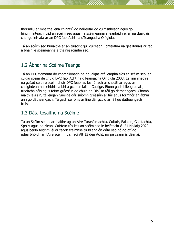fhoirmliú ar mhaithe lena chinntiú go ndíreofar go cuimsitheach agus go hincriminteach, tríd an scéim seo agus na scéimeanna a leanfaidh é, ar na dualgais chuí go léir atá ar an DPC faoi Acht na dTeangacha Oifigiúla.

Tá an scéim seo bunaithe ar an tuiscint gur cuireadh i bhfeidhm na gealltanais ar fad a bhain le scéimeanna a tháinig roimhe seo.

## <span id="page-4-0"></span>1.2 Ábhar na Scéime Teanga

Tá an DPC tiomanta do chomhlíonadh na ndualgas atá leagtha síos sa scéim seo, an cúigiú scéim de chuid DPC faoi Acht na dTeangacha Oifigiúla 2003. Le linn shaolré na gcéad ceithre scéim chuir DPC feabhas leanúnach ar sholáthar agus ar chaighdeán na seirbhísí a bhí á gcur ar fáil i nGaeilge. Bíonn gach bileog eolais, treoircháipéis agus foirm gréasáin de chuid an DPC ar fáil go dátheangach. Chomh maith leis sin, tá leagan Gaeilge dár suíomh gréasáin ar fáil agus formhór an ábhair ann go dátheangach. Tá gach seirbhís ar líne dár gcuid ar fáil go dátheangach freisin.

### <span id="page-4-1"></span>1.3 Dáta tosaithe na Scéime

Tá an Scéim seo dearbhaithe ag an Aire Turasóireachta, Cultúir, Ealaíon, Gaeltachta, Spóirt agus na Meán. Cuirfear tús leis an scéim seo le héifeacht ó 21 Nollaig 2020, agus beidh feidhm léi ar feadh tréimhse trí bliana ón dáta seo nó go dtí go ndearbhóidh an tAire scéim nua, faoi Alt 15 den Acht, nó pé ceann is déanaí.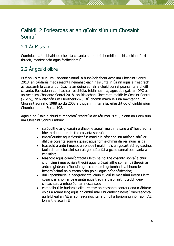## <span id="page-5-0"></span>Caibidil 2 Forléargas ar an gCoimisiún um Chosaint Sonraí

## <span id="page-5-1"></span>2.1 Ár Misean

Cumhdach a thabhairt do chearta cosanta sonraí trí chomhlíontacht a chinntiú trí threoir, maoirseacht agus forfheidhmiú.

## <span id="page-5-2"></span>2.2 Ár gcuid oibre

Is é an Coimisiún um Chosaint Sonraí, a bunaíodh faoin Acht um Chosaint Sonraí 2018, an t-údarás maoirseachta neamhspleách náisiúnta in Éirinn agus é freagrach as seasamh le cearta bunúsacha an duine aonair a chuid sonraí pearsanta a bheith cosanta. Eascraíonn cumhachtaí reachtúla, feidhmeanna, agus dualgais an DPC as an Acht um Chosanta Sonraí 2018, an Rialachán Ginearálta maidir le Cosaint Sonraí (RGCS), an Rialachán um Fhorfheidhmiú Dlí, chomh maith leis na hAchtanna um Chosaint Sonraí ó 1988 go dtí 2003 a thugann, inter alia, éifeacht do Choinbhinsiún Chomhairle na hEorpa 108.

Agus é ag úsáid a chuid cumhachtaí reachtúla de réir mar is cuí, bíonn an Coimisiún um Chosaint Sonraí i mbun:

- scrúduithe ar ghearáin ó dhaoine aonair maidir le sárú a d'fhéadfadh a bheith déanta ar dhlíthe cosanta sonraí;
- imscrúduithe agus fiosrúcháin maidir le cásanna ina mbíonn sárú ar dhlíthe cosanta sonraí i gceist agus forfheidhmiú dá réir nuair is gá;
- feasacht a ardú i measc an phobail maidir leis an gceart atá ag daoine, faoin dlí um chosaint sonraí, go ndéanfaí a gcuid sonraí pearsanta a chosaint;
- feasacht agus comhlíontacht i leith na ndlíthe cosanta sonraí a chur chun cinn i measc rialaitheoirí agus próiseálaithe sonraí, trí threoir ar ardchaighdeán a fhoilsiú agus caidreamh gníomhach a bhunú le heagraíochtaí na n-earnálacha poiblí agus príobháideacha;
- dul i gcomhairle le heagraíochtaí chun cuidiú le measúnú riosca i leith cosaint ar shonraí pearsanta agus treoir a thabhairt i dtaobh deachleachtais a mhaolódh an riosca seo;
- comhoibriú le húdaráis eile i réimse an chosanta sonraí (lena n-áirítear eolas a roinnt leo) agus gníomhú mar Phríomhshaineolaí Maoirseachta ag leibhéal an AE ar son eagraíochtaí a bhfuil a bpríomhghnó, faoin AE, lonnaithe acu in Éirinn.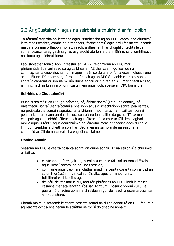## <span id="page-6-0"></span>2.3 Ár gCustaiméirí agus na seirbhísí a chuirimid ar fáil dóibh

Tá téarmaí tagartha an-leathana agus ilsraitheacha ag an DPC i dtaca lena chúraimí i leith maoirseachta, comhairle a thabhairt, forfheidhmiú agus ardú feasachta, chomh maith le cúraimí ó thaobh monatóireacht a dhéanamh ar chomhlíontacht i leith sonraí pearsanta ag gach saghas eagraíocht atá lonnaithe in Éirinn, sa chomhthéacs náisiúnta agus idirnáisiúnta.

Faoi sholáthar Ionaid Aon Fhreastail an GDPR, feidhmíonn an DPC mar phríomhúdarás maoirseachta ag Leibhéal an AE thar ceann go leor de na comhlachtaí teicneolaíochta, idirlín agus meán sóisialta a bhfuil a gceanncheathrúna acu in Éirinn. Dá bharr seo, tá ról an-lárnach ag an DPC ó thaobh cearta cosanta sonraí a chosaint ar son na milliún duine aonair ar fud fad an AE. Mar gheall air seo, is minic nach in Éirinn a bhíonn custaiméirí agus lucht spéise an DPC lonnaithe.

#### **Seirbhís do Chustaiméirí**

Is iad custaiméirí an DPC go príomha, ná, ábhair sonraí (i.e duine aonair), nó rialaitheoirí sonraí (eagraíochtaí a bhailíonn agus a smachtaíonn sonraí pearsanta), nó próiseálaithe sonraí (eagraíochtaí a bhíonn i mbun taisc ina mbailítear sonraí pearsanta thar ceann an rialaitheora sonraí) nó ionadaithe dá gcuid. Tá sé mar chuspóir againn seirbhís éifeachtach agus éifeachtúil a chur ar fáil, lena laghad moille agus is féidir, agus dearbhaímid go léireofar meas ar chearta gach duine le linn don tseirbhís a bheith á soláthar. Seo a leanas samplaí de na seirbhísí a chuirimid ar fáil do na cineálacha éagsúla custaiméirí:

#### **Daoine Aonair**

Seasann an DPC le cearta cosanta sonraí an duine aonair. Ar na seirbhísí a chuirimid ar fáil tá:

- ceisteanna a fhreagairt agus eolas a chur ar fáil tríd an Aonad Eolais agus Measúnachta, ag an líne thosaigh;
- comhairle agus treoir a sholáthar maidir le cearta cosanta sonraí tríd an suíomh gréasáin, na meáin shóisialta, agus ar mhodhanna foilsitheoireachta eile; agus
- déileáil, de réir mar is cuí, faoi réir phróiseas an DPC i leith láimhseáil cásanna mar atá leagtha síos san Acht um Chosaint Sonraí 2018, le gearáin ó dhaoine aonair a chreideann gur deineadh a gcearta cosanta sonraí a shárú.

Chomh maith le seasamh le cearta cosanta sonraí an duine aonair tá an DPC faoi réir ag reachtaíocht a bhaineann le soláthar seirbhísí do dhaoine aonair: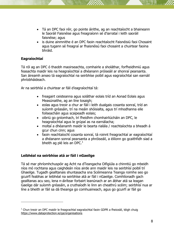- Tá an DPC faoi réir, go pointe áirithe, ag an reachtaíocht a bhaineann le Saoráil Faisnéise agus freagraíonn sé d'iarrataí i leith saoráil faisnéise; agus
- is duine ainmnithe é an DPC faoin reachtaíocht Faisnéisiú faoi Chosaint agus tugann sé freagraí ar fhaisnéisú faoi chosaint a chuirtear faoina bhráid.

#### **Eagraíochtaí**

-

Tá ról ag an DPC ó thaobh maoirseachta, comhairle a sholáthar, forfheidhmiú agus feasachta maidir leis na heagraíochtaí a dhéanann próiseáil ar shonraí pearsanta. San áireamh anseo tá eagraíochtaí na seirbhíse poiblí agus eagraíochtaí san earnáil phríobháideach.

Ar na seirbhísí a chuirtear ar fáil d'eagraíochtaí tá:

- freagairt ceisteanna agus soláthar eolais tríd an Aonad Eolais agus Measúnaithe, ag an líne tosaigh;
- eolas agus treoir a chur ar fáil i leith dualgais cosanta sonraí, tríd an suíomh gréasáin, trí na meáin shóisialta, agus trí mhodhanna eile foilseacháin agus scaipeadh eolais;
- oibriú go gníomhach, trí fheidhm chomhairliúcháin an DPC, le heagraíochtaí agus le grúpaí as na earnálacha;
- moltaí a dhéanamh maidir le bearta rialála / reachtaíochta a bheadh á gcur chun cinn; agus
- faoin reachtaíocht cosanta sonraí, tá roinnt freagrachtaí ar eagraíochtaí a dhéanann sonraí pearsanta a phróiseáil, a éilíonn go gcaithfidh siad a bheith ag plé leis an DPC. $<sup>1</sup>$ </sup>

#### **Leibhéal na seirbhíse atá ar fáil i nGaeilge**

Tá sé mar phríomhchuspóir ag Acht na dTeangacha Oifigiúla a chinntiú go mbeidh níos mó rochtana agus caighdeán níos airde ann maidir leis na seirbhísí poiblí trí Ghaeilge. Tugadh gealltanais shuntasacha sna Scéimeanna Teanga roimhe seo go gcuirfí feabhas ar leibhéal na seirbhíse atá ar fáil i nGaeilge. Comhlíonadh gach gealltanas acu seo, lena n-áirítear forbairt leanúnach ar an ábhar atá sa leagan Gaeilge dár suíomh gréasáin, a cruthaíodh le linn an cheathrú scéim; seirbhísí nua ar líne a bheith ar fáil sa dá theanga go comhuaineach, agus go gcuirfí ar fáil go

<sup>&</sup>lt;sup>1</sup> Chun treoir an DPC maidir le freagrachtaí eagraíochtaí faoin GDPR a fheiceáil, téigh chuig <https://www.dataprotection.ie/ga/organisations>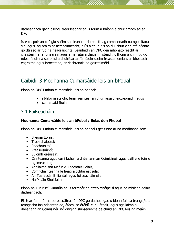dátheangach gach bileog, treoirleabhar agus foirm a bhíonn á chur amach ag an DPC.

Is é cuspóir an chúigiú scéim seo leanúint de bheith ag comhlíonadh na ngealltanas sin, agus, ag braith ar acmhainneacht, dlús a chur leis an dul chun cinn atá déanta go dtí seo ar fud na heagraíochta. Leanfaidh an DPC den mhonatóireacht ar cheisteanna, ar ghearáin agus ar iarrataí a thagann isteach, d'fhonn a chinntiú go ndéanfaidh na seirbhísí a chuirfear ar fáil faoin scéim freastal iomlán, ar bhealach eagraithe agus inrochtana, ar riachtanais na gcustaiméirí.

## <span id="page-8-0"></span>Caibidil 3 Modhanna Cumarsáide leis an bPobal

Bíonn an DPC i mbun cumarsáide leis an bpobal:

- i bhfoirm scríofa, lena n-áirítear an chumarsáid leictreonach; agus
- cumarsáid fhóin.

#### <span id="page-8-1"></span>3.1 Foilseacháin

#### **Modhanna Cumarsáide leis an bPobal / Eolas don Phobal**

Bíonn an DPC i mbun cumarsáide leis an bpobal i gcoitinne ar na modhanna seo:

- Bileoga Eolais;
- Treoircháipéisí;
- Podchraoltaí;
- Preaseisiúintí;
- Suíomh gréasáin:
- Cainteanna agus cur i láthair a dhéanann an Coimisinéir agus baill eile foirne ag imeachtaí;
- Agallaimh sna Meáin & Feachtais Eolais;
- Comhchainteanna le heagraíochtaí éagsúla;
- An Tuarascáil Bhliantúil agus foilseacháin eile;
- Na Meáin Shóisialta

Bíonn na Tuairiscí Bliantúla agus formhór na dtreoircháipéisí agus na mbileog eolais dátheangach.

Eisítear formhór na bpreasráiteas ón DPC go dátheangach; bíonn fáil sa teanga/sna teangacha ina ndéantar iad, áfach, ar óráidí, cur i láthair, agus agallaimh a dhéanann an Coimisinéir nó oifigigh shinsearacha de chuid an DPC leis na meáin.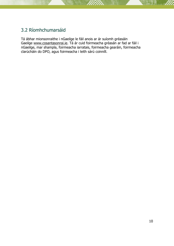### <span id="page-9-0"></span>3.2 Ríomhchumarsáid

Tá ábhar mionsonraithe i nGaeilge le fáil anois ar ár suíomh gréasáin Gaeilge [www.cosantasonrai.ie.](http://www.cosantasonrai.ie/) Tá ár cuid foirmeacha gréasán ar fad ar fáil i nGaeilge, mar shampla, foirmeacha iarratais, foirmeacha gearáin, foirmeacha clarúcháin do DPO, agus foirmeacha i leith sárú coinníll.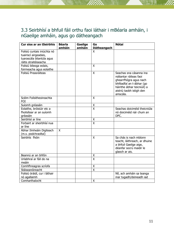### <span id="page-10-0"></span>3.3 Seirbhísí a bhfuil fáil orthu faoi láthair i mBéarla amháin, i nGaeilge amháin, agus go dátheangach

<span id="page-10-1"></span>

| Cur síos ar an tSeirbhís                                                                                   | <b>Béarla</b><br>amháin | Gaeilge<br>amháin | Go<br><b>Dátheangach</b> | <b>Nótaí</b>                                                                                                                                                                  |
|------------------------------------------------------------------------------------------------------------|-------------------------|-------------------|--------------------------|-------------------------------------------------------------------------------------------------------------------------------------------------------------------------------|
| Foilsiú cuntais iniúchta nó<br>tuairiscí airgeadais,<br>tuarascála bliantúla agus<br>ráitis straitéiseacha |                         |                   | $\overline{\mathsf{x}}$  |                                                                                                                                                                               |
| Foilsiú bileoga eolais,<br>foirmeacha agus eolaithe                                                        |                         |                   | X                        |                                                                                                                                                                               |
| Foilsiú Preasráiteas                                                                                       |                         |                   | X                        | Seachas sna cásanna ina<br>ndéantar ráiteas faoi<br>ghearrfhógra agus nach<br>bhféadfaí an t-ábhar (go<br>háirithe ábhar teicniúil) a<br>aistriú taobh istigh den<br>amscála. |
| Scéim Foilsitheoireachta<br>FOI                                                                            |                         |                   | X                        |                                                                                                                                                                               |
| Suíomh gréasáin                                                                                            |                         |                   | Χ                        |                                                                                                                                                                               |
| Eolaithe, bróisiúir etc a<br>fhoilsítear ar an suíomh<br>gréasáin                                          |                         |                   | $\overline{\mathsf{x}}$  | Seachas doiciméid theicniúla<br>nó doiciméid nár chum an<br>DPC.                                                                                                              |
| Seirbhísí ar líne                                                                                          |                         |                   | $\frac{x}{x}$            |                                                                                                                                                                               |
| Forbairt ar sheirbhísí nua<br>ar líne                                                                      |                         |                   |                          |                                                                                                                                                                               |
| Ábhar Ilmheáin Digiteach<br>(m.s. podchraoltaí)                                                            | X                       |                   |                          |                                                                                                                                                                               |
| Seirbhís fhóin                                                                                             |                         |                   | X                        | Sa chás is nach mbíonn<br>teacht, láithreach, ar dhuine<br>a bhfuil Gaeilge aige,<br>déanfar socrú maidir le<br>glaoch ar ais.                                                |
| Beannú ar an bhfón                                                                                         |                         |                   | Χ                        |                                                                                                                                                                               |
| Urlabhraí ar fáil do na<br>meáin                                                                           |                         |                   | $\overline{\mathsf{x}}$  |                                                                                                                                                                               |
| Comhfhreagras scríofa                                                                                      |                         |                   | Χ                        |                                                                                                                                                                               |
| Stáiseanóireacht                                                                                           |                         |                   | $\overline{\mathsf{x}}$  |                                                                                                                                                                               |
| Foilsiú óráidí, cur i láthair<br>nó agallaimh                                                              |                         |                   |                          | Níl, ach amháin sa teanga<br>inar tugadh/deineadh iad                                                                                                                         |
| Comharthaíocht                                                                                             |                         |                   | X                        |                                                                                                                                                                               |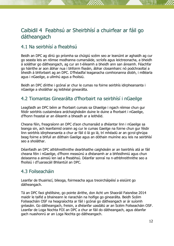## Caibidil 4 Feabhsú ar Sheirbhísí a chuirfear ar fáil go dátheangach

#### <span id="page-11-0"></span>4.1 Na seirbhísí a fheabhsú

Beidh an DPC ag díriú go príomha sa chúigiú scéim seo ar leanúint ar aghaidh ag cur go seasta leis an réimse modhanna cumarsáide, scríofa agus leictreonacha, a bheidh á soláthar go dátheangach, ag cur an t-éileamh a bheidh ann san áireamh. Féachfar go háirithe ar aon ábhar nua i bhfoirm físeáin, ábhar closamhairc nó podchraoltaí a bheidh á bhforbairt ag an DPC. D'fhéadfaí leaganacha comhionanna díobh, i mBéarla agus i nGaeilge, a ullmhú agus a fhoilsiú.

Beidh an DPC dírithe i gcónaí ar chur le cumas na foirne seirbhís idirphearsanta i nGaeilge a sholáthar ag leibhéal ginearálta.

#### <span id="page-11-1"></span>4.2 Tiomantas Ginearálta d'fhorbairt na seirbhísí i nGaeilge

Leagfaidh an DPC béim ar fhorbairt cumais sa Ghaeilge i ngach réimse chun gur féidir seirbhís custaiméara ardchaighdeáin duine le duine a fhorbairt i nGaeilge, d'fhonn freastal ar an éileamh a bheadh ar a leithéid.

Cheana féin, freagraíonn an DPC d'aon chumarsáid a dhéantar linn i nGaeilge sa teanga sin, ach leanfaimid orainn ag cur le cumas Gaeilge na foirne chun gur féidir linn seirbhís idirphearsanta a chur ar fáil ó lá go lá, trí mhéadú ar an gcroí-ghrúpa beag foirne a bhfuil an dóthain Gaeilge agus an dóthain muiníne acu leis na seirbhísí seo a sholáthar.

Déanfaidh an DPC athbhreithnithe dearbhaithe caighdeáin ar an tseirbhís atá ar fáil cheana féin i nGaeilge, d'fhonn measúnú a dhéanamh ar a bhfeidhmiú agus chun deiseanna a aimsiú len iad a fheabhsú. Déanfar sonraí na n-athbhreithnithe seo a fhoilsiú i dTuarascáil Bhliantúil an DPC.

#### <span id="page-11-2"></span>4.3 Foilseacháin

Leanfar de thuairiscí, bileoga, foirmeacha agus treoircháipéisí a eisiúint go dátheangach.

Tá an DPC faoi ghéillsine, go pointe áirithe, don Acht um Shaoráil Faisnéise 2014 maidir le taifid a bhaineann le riarachán na hoifige go ginearálta. Beidh Scéim Foilseacháin OSF na heagraíochta ar fáil i gcónaí go dátheangach ar ár suíomh gréasáin. Go dátheangach, freisin, a dhéanfar uasdátú ar an Scéim Foilseacháin OSF. Leanfar de Loga Nochta FOI an DPC a chur ar fáil do dátheangach, agus déanfar gach nuashonrú ar an Loga Nochta go dátheangach.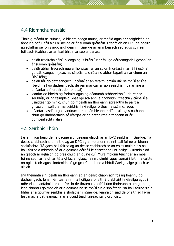### <span id="page-12-0"></span>4.4 Ríomhchumarsáid

Tháinig méadú as cuimse, le blianta beaga anuas, ar mhéid agus ar chaighdeán an ábhair a bhfuil fáil air i nGaeilge ar ár suíomh gréasáin. Leanfaidh an DPC de bheith ag soláthar seirbhís ardchaighdeáin i nGaeilge ar an mbealach seo agus cuirfear tuilleadh feabhais ar an tseirbhís mar seo a leanas:

- beidh treoircháipéisí, bileoga agus bróisiúir ar fáil go dátheangach i gcónaí ar ár suíomh gréasáin;
- beidh ábhar treorach nua a fhoilsítear ar an suíomh gréasáin ar fáil i gcónaí go dátheangach (seachas cáipéisí teicniúla nó ábhar tagartha nár chum an DPC féin);
- beidh fáil go dátheangach i gcónaí ar an tsraith iomlán dár seirbhísí ar líne (beidh fáil go dátheangach, de réir mar cuí, ar aon seirbhísí nua ar líne a dhéantar a fhorbairt don phobal)
- leanfar de bheith ag forbairt agus ag déanamh athbhreithniú, de réir ár seirbhísí, ar na teimpléid Ghaeilge atá ann le haghaidh litreacha / cáipéisí a úsáidtear go minic, chun go mbeidh an fhoireann spreagtha le páirt a ghlacadh i soláthar na seirbhísí i nGaeilge, ó thús na scéime; agus
- déanfar uasdátú go leanúnach ar an lámhleabhar d'fhocail agus nathanna chun go dtabharfaidh sé léargas ar na hathruithe a thagann ar ár dtimpeallacht rialála.

### <span id="page-12-1"></span>4.5 Seirbhís Fhóin

Iarrann líon beag de na daoine a chuireann glaoch ar an DPC seirbhís i nGaeilge. Tá deasc chabhrach shonraithe ag an DPC ag a n-oibríonn roinnt ball foirne ar bhonn sealaíochta. Tá gach ball foirne ag an deasc chabhrach ar an eolas maidir leis na baill foirne a mbeadh sé ar a gcumas déileáil le ceisteanna i nGaeilge. Cuirfidh siad an glaoch ar aghaidh go pras chuig an duine cuí. Mura mbíonn teacht ar an mball foirne seo, iarrfaidh an té a ghlac an glaoch ainm, uimhir agus sonraí i leith na ceiste ón nglaoiteoir agus cinnteoidh sé go gcuirfidh duine a bhfuil Gaeilge aige glaoch ar ais air.

Ina theannta sin, beidh an fhoireann ag an deasc chabhrach fós ag beannú go dátheangach, lena n-áirítear ainm na hoifige a bheith á thabhairt i nGaeilge agus i mBéarla. Leanfaimid orainn freisin de thraenáil a ofráil don fhoireann ó am go ham, lena chinntiú go mbeidh ar a gcumas na seirbhísí sin a sholáthar. Na baill foirne sin a bhfuil ar a gcumas seirbhís a sholáthar i nGaeilge, leanfaidh siad de bheith ag fágáil leaganacha dátheangacha ar a gcuid teachtaireachtaí glórphoist.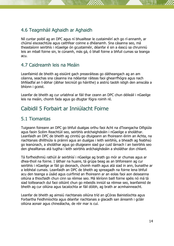### <span id="page-13-0"></span>4.6 Teagmháil Aghaidh ar Aghaidh

Níl cuntar poiblí ag an DPC agus ní bhuailtear le custaiméirí ach go rí-annamh, ar chúinsí eisceachtúla agus caithfear coinne a dhéanamh. Sna cásanna seo, má theastaíonn seirbhís i nGaeilge ón gcustaiméir, déanfar é sin a éascú sa chruinniú leis an mball foirne sin, le cúnamh, más gá, ó bhall foirne a bhfuil cumas sa teanga acu.

#### <span id="page-13-1"></span>4.7 Caidreamh leis na Meáin

Leanfaimid de bheith ag eisiúint gach preasráiteas go dátheangach ag an am céanna, seachas sna cásanna ina ndéantar ráiteas faoi ghearrfhógra agus nach bhféadfaí an t-ábhar (ábhar teicniúil go háirithe) a aistriú taobh istigh den amscála a bhíonn i gceist.

Leanfar de bheith ag cur urlabhraí ar fáil thar ceann an DPC chun déileáil i nGaeilge leis na meáin, chomh fada agus go dtugtar fógra roimh ré.

## <span id="page-13-2"></span>Caibidil 5 Forbairt ar Inniúlacht Foirne

#### <span id="page-13-3"></span>5.1 Tiomantas

Tuigeann foireann an DPC go bhfuil dualgas orthu faoi Acht na dTeangacha Oifigiúla agus faoin Scéim Reachtúil seo, seirbhís ardchaighdeáin i nGaeilge a sholáthar. Leanfaidh an DPC de bheith ag cinntiú go dtuigeann an fhoireann éirim an Achta, na riachtanais dhlíthiúla is práinní agus an dualgas i leith seirbhís, a bheadh ag feabhsú go leanúnach, a sholáthar agus go dtuigeann siad gur cuid lárnach í an tseirbhís seo den ghealltanas atá tugtha i leith seirbhís ardchaighdeáin a sholáthar don chliant.

Tá forfheidhmiú rathúil ár seirbhísí i nGaeilge ag brath go mór ar chumas agus ar dhea-thoil na foirne. I láthair na huaire, tá grúpa beag as an bhfoireann ag cur seirbhís i nGaeilge ar fáil go deonach, chomh maith agus atá siad in ann, bunaithe ar a leibhéal cumais. Leanfaidh an DPC de bheith ag spreagadh na foirne lena bhfuil acu den teanga a úsáid agus cuirfimid an fhoireann ar an eolas faoi aon deiseanna oiliúna a thiocfaidh chun cinn sa réimse seo. Má léiríonn baill foirne spéis nó má tá siad toilteanach dul faoi oiliúint chun go mbeidís inniúil sa réimse seo, leanfaimid de bheith ag cur oiliúna agus tacaíochta ar fáil dóibh, ag brath ar acmhainneacht.

Leanfar de bheith ag aimsiú riachtanais oiliúna tríd an gCóras Bainistíochta agus Forbartha Feidhmíochta agus déanfar riachtanais a glacadh san áireamh i gcláir oiliúna aonair agus chineálacha, de réir mar is cuí.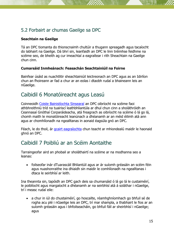### <span id="page-14-0"></span>5.2 Forbairt ar chumas Gaeilge sa DPC

#### **Seachtain na Gaeilge**

Tá an DPC tiomanta do thionscnaimh chultúir a thugann spreagadh agus tacaíocht do labhairt na Gaeilge. Dá bhrí sin, leanfaidh an DPC le linn tréimhse feidhme na scéime seo, de bheith ag cur imeachtaí a eagraítear i rith Sheachtain na Gaeilge chun cinn.

#### **Cumarsáid Inmheánach: Feasachán Seachtainiúil na Foirne**

Bainfear úsáid as nuachtlitir sheachtainiúil leictreonach an DPC agus as an Idirlíon chun an fhoireann ar fad a chur ar an eolas i dtaobh rudaí a bhaineann leis an nGaeilge.

## <span id="page-14-1"></span>Caibidil 6 Monatóireacht agus Leasú

Coinneoidh [Coiste Bainistíochta Sinsearaí](https://www.dataprotection.ie/ga/about/coiste-bainistiochta-sinsearach-struchtur-eagruchain) an DPC oibríocht na scéime faoi athbhreithniú tríd na tuairiscí leathbhliantúla ar dhul chun cinn a sholáthróidh an Ceannasaí Gnóthaí Corparáideacha, atá freagrach as oibríocht na scéime ó lá go lá, chomh maith le monatóireacht leanúnach a dhéanamh ar an méid éilimh atá ann agus ar chomhlíonadh na ngealltanas in aonaid éagsúla gnó an DPC.

Féach, le do thoil, ár *[gcairt eagraíochta](https://www.dataprotection.ie/sites/default/files/uploads/2020-10/DPC%20Org%20chart%2028092020%20GA.pdf)* chun teacht ar mhiondealú maidir le haonaid ghnó an DPC.

## <span id="page-14-2"></span>Caibidil 7 Poibliú ar an Scéim Aontaithe

Tarraingeofar aird an phobail ar sholáthairtí na scéime ar na modhanna seo a leanas:

 foilseofar inár dTuarascáil Bhliantúil agus ar ár suíomh gréasáin an scéim féin agus nuashonraithe ina dhiaidh sin maidir le comhlíonadh na ngealltanas i dtaca le seirbhísí ar leith.

Ina theannta sin, tapóidh an DPC gach deis sa chumarsáid ó lá go lá le custaiméirí, le poiblíocht agus margaíocht a dhéanamh ar na seirbhísí atá á soláthar i nGaeilge, trí i measc rudaí eile:

 a chur in iúl do chustaiméirí, go hoscailte, réamhghníomhach go bhfuil sé de rogha acu plé i nGaeilge leis an DPC, trí mar shampla, a thabhairt le fios ar an suíomh gréasáin agus i bhfoilseacháin, go bhfuil fáil ar sheirbhísí i nGaeilge; agus